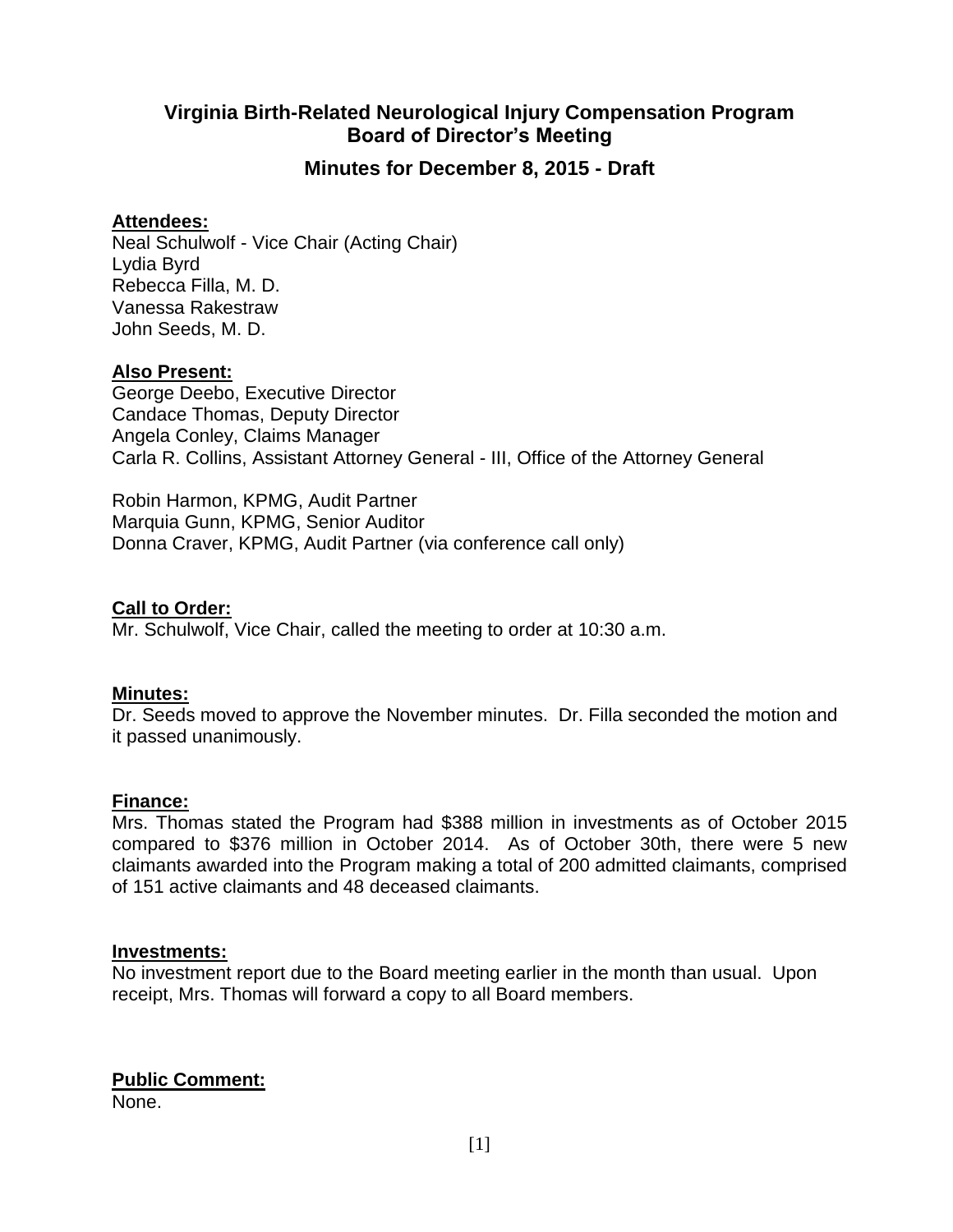# **Virginia Birth-Related Neurological Injury Compensation Program Board of Director's Meeting**

## **Minutes for December 8, 2015 - Draft**

### **Attendees:**

Neal Schulwolf - Vice Chair (Acting Chair) Lydia Byrd Rebecca Filla, M. D. Vanessa Rakestraw John Seeds, M. D.

### **Also Present:**

George Deebo, Executive Director Candace Thomas, Deputy Director Angela Conley, Claims Manager Carla R. Collins, Assistant Attorney General - III, Office of the Attorney General

Robin Harmon, KPMG, Audit Partner Marquia Gunn, KPMG, Senior Auditor Donna Craver, KPMG, Audit Partner (via conference call only)

**Call to Order:**

Mr. Schulwolf, Vice Chair, called the meeting to order at 10:30 a.m.

### **Minutes:**

Dr. Seeds moved to approve the November minutes. Dr. Filla seconded the motion and it passed unanimously.

### **Finance:**

Mrs. Thomas stated the Program had \$388 million in investments as of October 2015 compared to \$376 million in October 2014. As of October 30th, there were 5 new claimants awarded into the Program making a total of 200 admitted claimants, comprised of 151 active claimants and 48 deceased claimants.

### **Investments:**

No investment report due to the Board meeting earlier in the month than usual. Upon receipt, Mrs. Thomas will forward a copy to all Board members.

# **Public Comment:**

None.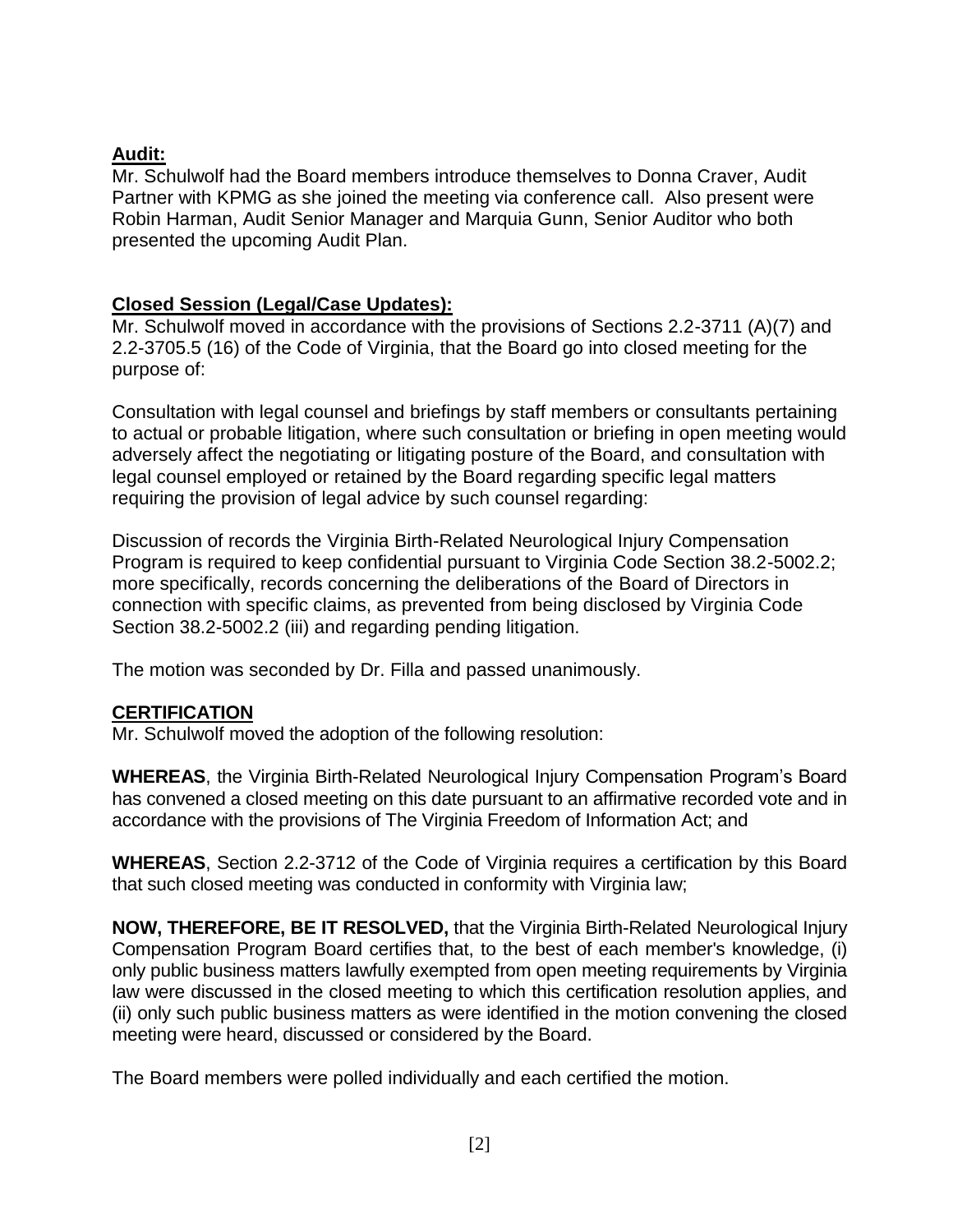## **Audit:**

Mr. Schulwolf had the Board members introduce themselves to Donna Craver, Audit Partner with KPMG as she joined the meeting via conference call. Also present were Robin Harman, Audit Senior Manager and Marquia Gunn, Senior Auditor who both presented the upcoming Audit Plan.

## **Closed Session (Legal/Case Updates):**

Mr. Schulwolf moved in accordance with the provisions of Sections 2.2-3711 (A)(7) and 2.2-3705.5 (16) of the Code of Virginia, that the Board go into closed meeting for the purpose of:

Consultation with legal counsel and briefings by staff members or consultants pertaining to actual or probable litigation, where such consultation or briefing in open meeting would adversely affect the negotiating or litigating posture of the Board, and consultation with legal counsel employed or retained by the Board regarding specific legal matters requiring the provision of legal advice by such counsel regarding:

Discussion of records the Virginia Birth-Related Neurological Injury Compensation Program is required to keep confidential pursuant to Virginia Code Section 38.2-5002.2; more specifically, records concerning the deliberations of the Board of Directors in connection with specific claims, as prevented from being disclosed by Virginia Code Section 38.2-5002.2 (iii) and regarding pending litigation.

The motion was seconded by Dr. Filla and passed unanimously.

## **CERTIFICATION**

Mr. Schulwolf moved the adoption of the following resolution:

**WHEREAS**, the Virginia Birth-Related Neurological Injury Compensation Program's Board has convened a closed meeting on this date pursuant to an affirmative recorded vote and in accordance with the provisions of The Virginia Freedom of Information Act; and

**WHEREAS**, Section 2.2-3712 of the Code of Virginia requires a certification by this Board that such closed meeting was conducted in conformity with Virginia law;

**NOW, THEREFORE, BE IT RESOLVED,** that the Virginia Birth-Related Neurological Injury Compensation Program Board certifies that, to the best of each member's knowledge, (i) only public business matters lawfully exempted from open meeting requirements by Virginia law were discussed in the closed meeting to which this certification resolution applies, and (ii) only such public business matters as were identified in the motion convening the closed meeting were heard, discussed or considered by the Board.

The Board members were polled individually and each certified the motion.